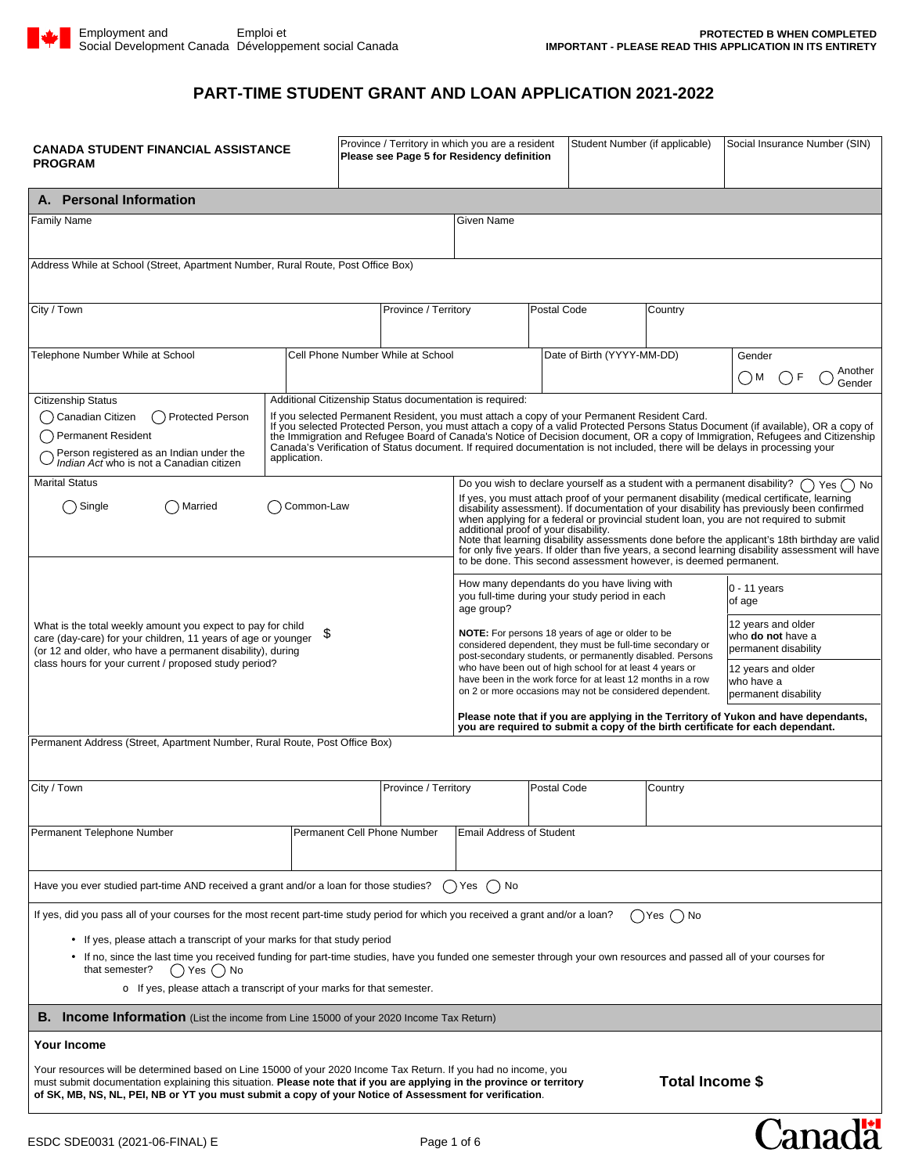## **PART-TIME STUDENT GRANT AND LOAN APPLICATION 2021-2022**

| <b>CANADA STUDENT FINANCIAL ASSISTANCE</b><br><b>PROGRAM</b>                                                                                                                                                                                                                                                                                                                                                                                                                                                                                                                                                                                                                                                                               |              | Province / Territory in which you are a resident<br>Please see Page 5 for Residency definition |                                                          |                                                                                                                                                                                                                                                                                                                                                                                                                                                                                                                                                                                                                                                                                                                                                                                                                                   | Student Number (if applicable) |                            | Social Insurance Number (SIN) |                                                                                                                                                                                                                                                                                                                                                                                                     |
|--------------------------------------------------------------------------------------------------------------------------------------------------------------------------------------------------------------------------------------------------------------------------------------------------------------------------------------------------------------------------------------------------------------------------------------------------------------------------------------------------------------------------------------------------------------------------------------------------------------------------------------------------------------------------------------------------------------------------------------------|--------------|------------------------------------------------------------------------------------------------|----------------------------------------------------------|-----------------------------------------------------------------------------------------------------------------------------------------------------------------------------------------------------------------------------------------------------------------------------------------------------------------------------------------------------------------------------------------------------------------------------------------------------------------------------------------------------------------------------------------------------------------------------------------------------------------------------------------------------------------------------------------------------------------------------------------------------------------------------------------------------------------------------------|--------------------------------|----------------------------|-------------------------------|-----------------------------------------------------------------------------------------------------------------------------------------------------------------------------------------------------------------------------------------------------------------------------------------------------------------------------------------------------------------------------------------------------|
| A. Personal Information                                                                                                                                                                                                                                                                                                                                                                                                                                                                                                                                                                                                                                                                                                                    |              |                                                                                                |                                                          |                                                                                                                                                                                                                                                                                                                                                                                                                                                                                                                                                                                                                                                                                                                                                                                                                                   |                                |                            |                               |                                                                                                                                                                                                                                                                                                                                                                                                     |
| Family Name                                                                                                                                                                                                                                                                                                                                                                                                                                                                                                                                                                                                                                                                                                                                | Given Name   |                                                                                                |                                                          |                                                                                                                                                                                                                                                                                                                                                                                                                                                                                                                                                                                                                                                                                                                                                                                                                                   |                                |                            |                               |                                                                                                                                                                                                                                                                                                                                                                                                     |
| Address While at School (Street, Apartment Number, Rural Route, Post Office Box)                                                                                                                                                                                                                                                                                                                                                                                                                                                                                                                                                                                                                                                           |              |                                                                                                |                                                          |                                                                                                                                                                                                                                                                                                                                                                                                                                                                                                                                                                                                                                                                                                                                                                                                                                   |                                |                            |                               |                                                                                                                                                                                                                                                                                                                                                                                                     |
| City / Town                                                                                                                                                                                                                                                                                                                                                                                                                                                                                                                                                                                                                                                                                                                                |              |                                                                                                | Province / Territory                                     |                                                                                                                                                                                                                                                                                                                                                                                                                                                                                                                                                                                                                                                                                                                                                                                                                                   | Postal Code                    |                            | Country                       |                                                                                                                                                                                                                                                                                                                                                                                                     |
| Telephone Number While at School                                                                                                                                                                                                                                                                                                                                                                                                                                                                                                                                                                                                                                                                                                           |              |                                                                                                | Cell Phone Number While at School                        |                                                                                                                                                                                                                                                                                                                                                                                                                                                                                                                                                                                                                                                                                                                                                                                                                                   |                                | Date of Birth (YYYY-MM-DD) |                               | Gender<br>Another<br>( ) M<br>Gender                                                                                                                                                                                                                                                                                                                                                                |
| <b>Citizenship Status</b>                                                                                                                                                                                                                                                                                                                                                                                                                                                                                                                                                                                                                                                                                                                  |              |                                                                                                | Additional Citizenship Status documentation is required: |                                                                                                                                                                                                                                                                                                                                                                                                                                                                                                                                                                                                                                                                                                                                                                                                                                   |                                |                            |                               |                                                                                                                                                                                                                                                                                                                                                                                                     |
| Canadian Citizen<br><b>Protected Person</b><br><b>Permanent Resident</b><br>Person registered as an Indian under the<br>Indian Act who is not a Canadian citizen                                                                                                                                                                                                                                                                                                                                                                                                                                                                                                                                                                           | application. |                                                                                                |                                                          | If you selected Permanent Resident, you must attach a copy of your Permanent Resident Card.                                                                                                                                                                                                                                                                                                                                                                                                                                                                                                                                                                                                                                                                                                                                       |                                |                            |                               | If you selected Protected Person, you must attach a copy of a valid Protected Persons Status Document (if available), OR a copy of<br>the Immigration and Refugee Board of Canada's Notice of Decision document, OR a copy of Immigration, Refugees and Citizenship<br>Canada's Verification of Status document. If required documentation is not included, there will be delays in processing your |
| <b>Marital Status</b><br>Do you wish to declare yourself as a student with a permanent disability?<br>If yes, you must attach proof of your permanent disability (medical certificate, learning<br>Single<br>Married<br>Common-Law<br>disability assessment). If documentation of your disability has previously been confirmed<br>when applying for a federal or provincial student loan, you are not required to submit<br>additional proof of your disability.<br>Note that learning disability assessments done before the applicant's 18th birthday are valid<br>for only five years. If older than five years, a second learning disability assessment will have<br>to be done. This second assessment however, is deemed permanent. |              |                                                                                                |                                                          |                                                                                                                                                                                                                                                                                                                                                                                                                                                                                                                                                                                                                                                                                                                                                                                                                                   | Yes ( ) No                     |                            |                               |                                                                                                                                                                                                                                                                                                                                                                                                     |
| What is the total weekly amount you expect to pay for child<br>\$<br>care (day-care) for your children, 11 years of age or younger<br>(or 12 and older, who have a permanent disability), during<br>class hours for your current / proposed study period?                                                                                                                                                                                                                                                                                                                                                                                                                                                                                  |              |                                                                                                |                                                          | How many dependants do you have living with<br>$0 - 11$ years<br>you full-time during your study period in each<br>of age<br>age group?<br>12 years and older<br><b>NOTE:</b> For persons 18 years of age or older to be<br>who <b>do not</b> have a<br>considered dependent, they must be full-time secondary or<br>permanent disability<br>post-secondary students, or permanently disabled. Persons<br>who have been out of high school for at least 4 years or<br>12 years and older<br>have been in the work force for at least 12 months in a row<br>who have a<br>on 2 or more occasions may not be considered dependent.<br>permanent disability<br>Please note that if you are applying in the Territory of Yukon and have dependants,<br>you are required to submit a copy of the birth certificate for each dependant. |                                |                            |                               |                                                                                                                                                                                                                                                                                                                                                                                                     |
| Permanent Address (Street, Apartment Number, Rural Route, Post Office Box)                                                                                                                                                                                                                                                                                                                                                                                                                                                                                                                                                                                                                                                                 |              |                                                                                                |                                                          |                                                                                                                                                                                                                                                                                                                                                                                                                                                                                                                                                                                                                                                                                                                                                                                                                                   |                                |                            |                               |                                                                                                                                                                                                                                                                                                                                                                                                     |
| City / Town                                                                                                                                                                                                                                                                                                                                                                                                                                                                                                                                                                                                                                                                                                                                |              |                                                                                                | Province / Territory                                     |                                                                                                                                                                                                                                                                                                                                                                                                                                                                                                                                                                                                                                                                                                                                                                                                                                   | Postal Code                    |                            | Country                       |                                                                                                                                                                                                                                                                                                                                                                                                     |
| Permanent Telephone Number                                                                                                                                                                                                                                                                                                                                                                                                                                                                                                                                                                                                                                                                                                                 |              |                                                                                                | Permanent Cell Phone Number                              | <b>Email Address of Student</b>                                                                                                                                                                                                                                                                                                                                                                                                                                                                                                                                                                                                                                                                                                                                                                                                   |                                |                            |                               |                                                                                                                                                                                                                                                                                                                                                                                                     |
| Have you ever studied part-time AND received a grant and/or a loan for those studies?<br>( )Yes ( ) No                                                                                                                                                                                                                                                                                                                                                                                                                                                                                                                                                                                                                                     |              |                                                                                                |                                                          |                                                                                                                                                                                                                                                                                                                                                                                                                                                                                                                                                                                                                                                                                                                                                                                                                                   |                                |                            |                               |                                                                                                                                                                                                                                                                                                                                                                                                     |
| If yes, did you pass all of your courses for the most recent part-time study period for which you received a grant and/or a loan?<br>• If yes, please attach a transcript of your marks for that study period<br>• If no, since the last time you received funding for part-time studies, have you funded one semester through your own resources and passed all of your courses for<br>$( )$ Yes $( )$ No<br>that semester?<br>o If yes, please attach a transcript of your marks for that semester.                                                                                                                                                                                                                                      |              |                                                                                                |                                                          |                                                                                                                                                                                                                                                                                                                                                                                                                                                                                                                                                                                                                                                                                                                                                                                                                                   |                                |                            | $\bigcap$ Yes $\bigcap$ No    |                                                                                                                                                                                                                                                                                                                                                                                                     |
| <b>B.</b> Income Information (List the income from Line 15000 of your 2020 Income Tax Return)                                                                                                                                                                                                                                                                                                                                                                                                                                                                                                                                                                                                                                              |              |                                                                                                |                                                          |                                                                                                                                                                                                                                                                                                                                                                                                                                                                                                                                                                                                                                                                                                                                                                                                                                   |                                |                            |                               |                                                                                                                                                                                                                                                                                                                                                                                                     |
| <b>Your Income</b><br>Your resources will be determined based on Line 15000 of your 2020 Income Tax Return. If you had no income, you<br>must submit documentation explaining this situation. Please note that if you are applying in the province or territory<br>of SK, MB, NS, NL, PEI, NB or YT you must submit a copy of your Notice of Assessment for verification.                                                                                                                                                                                                                                                                                                                                                                  |              |                                                                                                |                                                          |                                                                                                                                                                                                                                                                                                                                                                                                                                                                                                                                                                                                                                                                                                                                                                                                                                   |                                |                            | Total Income \$               |                                                                                                                                                                                                                                                                                                                                                                                                     |
| ESDC SDE0031 (2021-06-FINAL) E                                                                                                                                                                                                                                                                                                                                                                                                                                                                                                                                                                                                                                                                                                             |              |                                                                                                | Page 1 of 6                                              |                                                                                                                                                                                                                                                                                                                                                                                                                                                                                                                                                                                                                                                                                                                                                                                                                                   |                                |                            |                               | Canadä                                                                                                                                                                                                                                                                                                                                                                                              |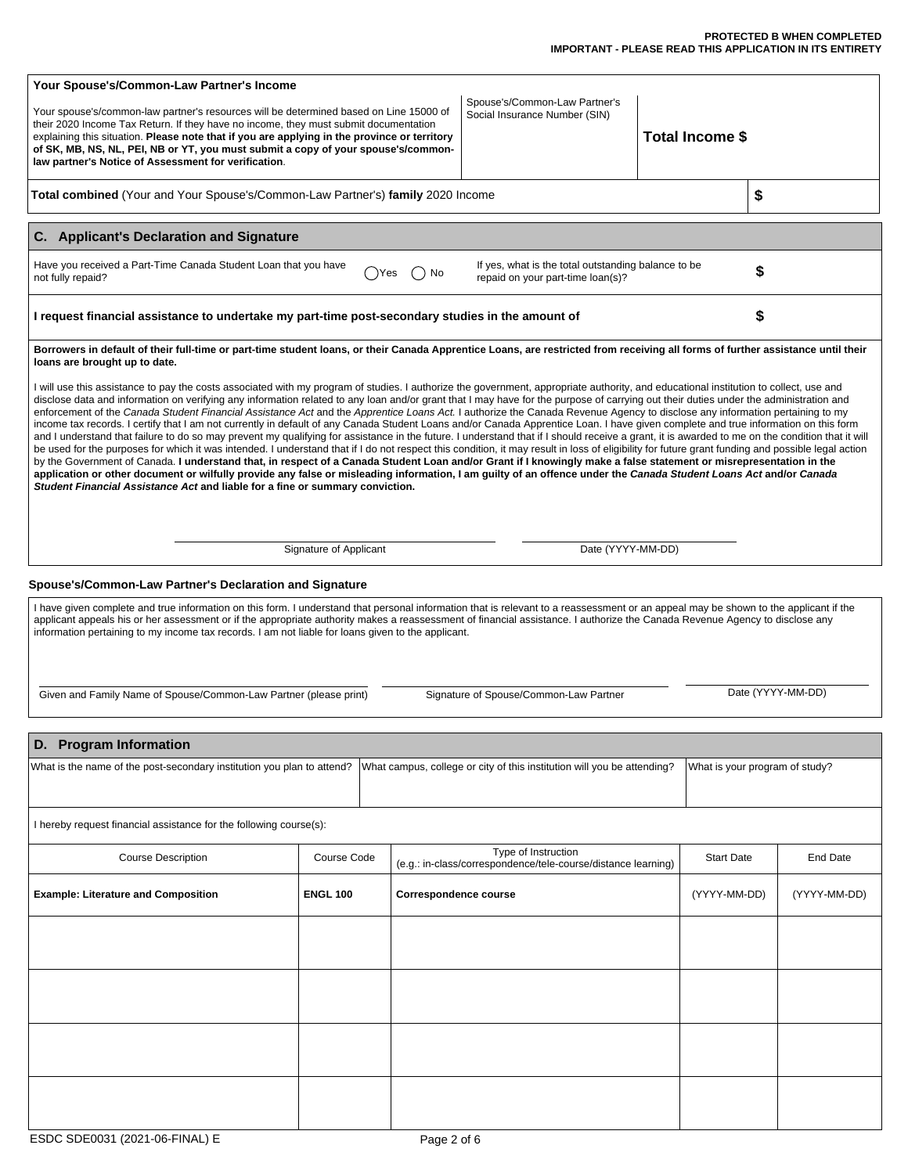#### **PROTECTED B WHEN COMPLETED IMPORTANT - PLEASE READ THIS APPLICATION IN ITS ENTIRETY**

| Your Spouse's/Common-Law Partner's Income<br>law partner's Notice of Assessment for verification.                                                                                                                                                                                                                                                                                                                                                                                                                                                                                                                                                                                                                                                                                                                                                                                                                                                                                                                                                                                                                                                                                                                                                                                                                                                                                                                                                                                                                                                                                                                                                                                                                                                                                                            | Spouse's/Common-Law Partner's<br>Your spouse's/common-law partner's resources will be determined based on Line 15000 of<br>Social Insurance Number (SIN)<br>their 2020 Income Tax Return. If they have no income, they must submit documentation<br>explaining this situation. Please note that if you are applying in the province or territory<br>of SK, MB, NS, NL, PEI, NB or YT, you must submit a copy of your spouse's/common- |                              |                                                                                      | Total Income \$ |                   |                                |  |
|--------------------------------------------------------------------------------------------------------------------------------------------------------------------------------------------------------------------------------------------------------------------------------------------------------------------------------------------------------------------------------------------------------------------------------------------------------------------------------------------------------------------------------------------------------------------------------------------------------------------------------------------------------------------------------------------------------------------------------------------------------------------------------------------------------------------------------------------------------------------------------------------------------------------------------------------------------------------------------------------------------------------------------------------------------------------------------------------------------------------------------------------------------------------------------------------------------------------------------------------------------------------------------------------------------------------------------------------------------------------------------------------------------------------------------------------------------------------------------------------------------------------------------------------------------------------------------------------------------------------------------------------------------------------------------------------------------------------------------------------------------------------------------------------------------------|---------------------------------------------------------------------------------------------------------------------------------------------------------------------------------------------------------------------------------------------------------------------------------------------------------------------------------------------------------------------------------------------------------------------------------------|------------------------------|--------------------------------------------------------------------------------------|-----------------|-------------------|--------------------------------|--|
| Total combined (Your and Your Spouse's/Common-Law Partner's) family 2020 Income                                                                                                                                                                                                                                                                                                                                                                                                                                                                                                                                                                                                                                                                                                                                                                                                                                                                                                                                                                                                                                                                                                                                                                                                                                                                                                                                                                                                                                                                                                                                                                                                                                                                                                                              | \$                                                                                                                                                                                                                                                                                                                                                                                                                                    |                              |                                                                                      |                 |                   |                                |  |
| C. Applicant's Declaration and Signature                                                                                                                                                                                                                                                                                                                                                                                                                                                                                                                                                                                                                                                                                                                                                                                                                                                                                                                                                                                                                                                                                                                                                                                                                                                                                                                                                                                                                                                                                                                                                                                                                                                                                                                                                                     |                                                                                                                                                                                                                                                                                                                                                                                                                                       |                              |                                                                                      |                 |                   |                                |  |
| Have you received a Part-Time Canada Student Loan that you have<br>If yes, what is the total outstanding balance to be<br>No<br>)Yes<br>repaid on your part-time loan(s)?<br>not fully repaid?                                                                                                                                                                                                                                                                                                                                                                                                                                                                                                                                                                                                                                                                                                                                                                                                                                                                                                                                                                                                                                                                                                                                                                                                                                                                                                                                                                                                                                                                                                                                                                                                               |                                                                                                                                                                                                                                                                                                                                                                                                                                       |                              |                                                                                      |                 |                   |                                |  |
| \$<br>I request financial assistance to undertake my part-time post-secondary studies in the amount of                                                                                                                                                                                                                                                                                                                                                                                                                                                                                                                                                                                                                                                                                                                                                                                                                                                                                                                                                                                                                                                                                                                                                                                                                                                                                                                                                                                                                                                                                                                                                                                                                                                                                                       |                                                                                                                                                                                                                                                                                                                                                                                                                                       |                              |                                                                                      |                 |                   |                                |  |
| Borrowers in default of their full-time or part-time student Ioans, or their Canada Apprentice Loans, are restricted from receiving all forms of further assistance until their<br>loans are brought up to date.<br>I will use this assistance to pay the costs associated with my program of studies. I authorize the government, appropriate authority, and educational institution to collect, use and<br>disclose data and information on verifying any information related to any loan and/or grant that I may have for the purpose of carrying out their duties under the administration and<br>enforcement of the Canada Student Financial Assistance Act and the Apprentice Loans Act. I authorize the Canada Revenue Agency to disclose any information pertaining to my<br>income tax records. I certify that I am not currently in default of any Canada Student Loans and/or Canada Apprentice Loan. I have given complete and true information on this form<br>and I understand that failure to do so may prevent my qualifying for assistance in the future. I understand that if I should receive a grant, it is awarded to me on the condition that it will<br>be used for the purposes for which it was intended. I understand that if I do not respect this condition, it may result in loss of eligibility for future grant funding and possible legal action<br>by the Government of Canada. I understand that, in respect of a Canada Student Loan and/or Grant if I knowingly make a false statement or misrepresentation in the<br>application or other document or wilfully provide any false or misleading information, I am guilty of an offence under the Canada Student Loans Act and/or Canada<br>Student Financial Assistance Act and liable for a fine or summary conviction. |                                                                                                                                                                                                                                                                                                                                                                                                                                       |                              |                                                                                      |                 |                   |                                |  |
| Signature of Applicant<br>Date (YYYY-MM-DD)                                                                                                                                                                                                                                                                                                                                                                                                                                                                                                                                                                                                                                                                                                                                                                                                                                                                                                                                                                                                                                                                                                                                                                                                                                                                                                                                                                                                                                                                                                                                                                                                                                                                                                                                                                  |                                                                                                                                                                                                                                                                                                                                                                                                                                       |                              |                                                                                      |                 |                   |                                |  |
| Spouse's/Common-Law Partner's Declaration and Signature                                                                                                                                                                                                                                                                                                                                                                                                                                                                                                                                                                                                                                                                                                                                                                                                                                                                                                                                                                                                                                                                                                                                                                                                                                                                                                                                                                                                                                                                                                                                                                                                                                                                                                                                                      |                                                                                                                                                                                                                                                                                                                                                                                                                                       |                              |                                                                                      |                 |                   |                                |  |
| I have given complete and true information on this form. I understand that personal information that is relevant to a reassessment or an appeal may be shown to the applicant if the<br>applicant appeals his or her assessment or if the appropriate authority makes a reassessment of financial assistance. I authorize the Canada Revenue Agency to disclose any<br>information pertaining to my income tax records. I am not liable for loans given to the applicant.<br>Date (YYYY-MM-DD)<br>Given and Family Name of Spouse/Common-Law Partner (please print)<br>Signature of Spouse/Common-Law Partner                                                                                                                                                                                                                                                                                                                                                                                                                                                                                                                                                                                                                                                                                                                                                                                                                                                                                                                                                                                                                                                                                                                                                                                                |                                                                                                                                                                                                                                                                                                                                                                                                                                       |                              |                                                                                      |                 |                   |                                |  |
|                                                                                                                                                                                                                                                                                                                                                                                                                                                                                                                                                                                                                                                                                                                                                                                                                                                                                                                                                                                                                                                                                                                                                                                                                                                                                                                                                                                                                                                                                                                                                                                                                                                                                                                                                                                                              |                                                                                                                                                                                                                                                                                                                                                                                                                                       |                              |                                                                                      |                 |                   |                                |  |
| D. Program Information<br>What is the name of the post-secondary institution you plan to attend?<br>What campus, college or city of this institution will you be attending?                                                                                                                                                                                                                                                                                                                                                                                                                                                                                                                                                                                                                                                                                                                                                                                                                                                                                                                                                                                                                                                                                                                                                                                                                                                                                                                                                                                                                                                                                                                                                                                                                                  |                                                                                                                                                                                                                                                                                                                                                                                                                                       |                              |                                                                                      |                 |                   | What is your program of study? |  |
| I hereby request financial assistance for the following course(s):                                                                                                                                                                                                                                                                                                                                                                                                                                                                                                                                                                                                                                                                                                                                                                                                                                                                                                                                                                                                                                                                                                                                                                                                                                                                                                                                                                                                                                                                                                                                                                                                                                                                                                                                           |                                                                                                                                                                                                                                                                                                                                                                                                                                       |                              |                                                                                      |                 |                   |                                |  |
| <b>Course Description</b>                                                                                                                                                                                                                                                                                                                                                                                                                                                                                                                                                                                                                                                                                                                                                                                                                                                                                                                                                                                                                                                                                                                                                                                                                                                                                                                                                                                                                                                                                                                                                                                                                                                                                                                                                                                    | Course Code                                                                                                                                                                                                                                                                                                                                                                                                                           |                              | Type of Instruction<br>(e.g.: in-class/correspondence/tele-course/distance learning) |                 | <b>Start Date</b> | End Date                       |  |
| <b>Example: Literature and Composition</b>                                                                                                                                                                                                                                                                                                                                                                                                                                                                                                                                                                                                                                                                                                                                                                                                                                                                                                                                                                                                                                                                                                                                                                                                                                                                                                                                                                                                                                                                                                                                                                                                                                                                                                                                                                   | <b>ENGL 100</b>                                                                                                                                                                                                                                                                                                                                                                                                                       | <b>Correspondence course</b> |                                                                                      |                 | (YYYY-MM-DD)      | (YYYY-MM-DD)                   |  |
|                                                                                                                                                                                                                                                                                                                                                                                                                                                                                                                                                                                                                                                                                                                                                                                                                                                                                                                                                                                                                                                                                                                                                                                                                                                                                                                                                                                                                                                                                                                                                                                                                                                                                                                                                                                                              |                                                                                                                                                                                                                                                                                                                                                                                                                                       |                              |                                                                                      |                 |                   |                                |  |
|                                                                                                                                                                                                                                                                                                                                                                                                                                                                                                                                                                                                                                                                                                                                                                                                                                                                                                                                                                                                                                                                                                                                                                                                                                                                                                                                                                                                                                                                                                                                                                                                                                                                                                                                                                                                              |                                                                                                                                                                                                                                                                                                                                                                                                                                       |                              |                                                                                      |                 |                   |                                |  |
|                                                                                                                                                                                                                                                                                                                                                                                                                                                                                                                                                                                                                                                                                                                                                                                                                                                                                                                                                                                                                                                                                                                                                                                                                                                                                                                                                                                                                                                                                                                                                                                                                                                                                                                                                                                                              |                                                                                                                                                                                                                                                                                                                                                                                                                                       |                              |                                                                                      |                 |                   |                                |  |
|                                                                                                                                                                                                                                                                                                                                                                                                                                                                                                                                                                                                                                                                                                                                                                                                                                                                                                                                                                                                                                                                                                                                                                                                                                                                                                                                                                                                                                                                                                                                                                                                                                                                                                                                                                                                              |                                                                                                                                                                                                                                                                                                                                                                                                                                       |                              |                                                                                      |                 |                   |                                |  |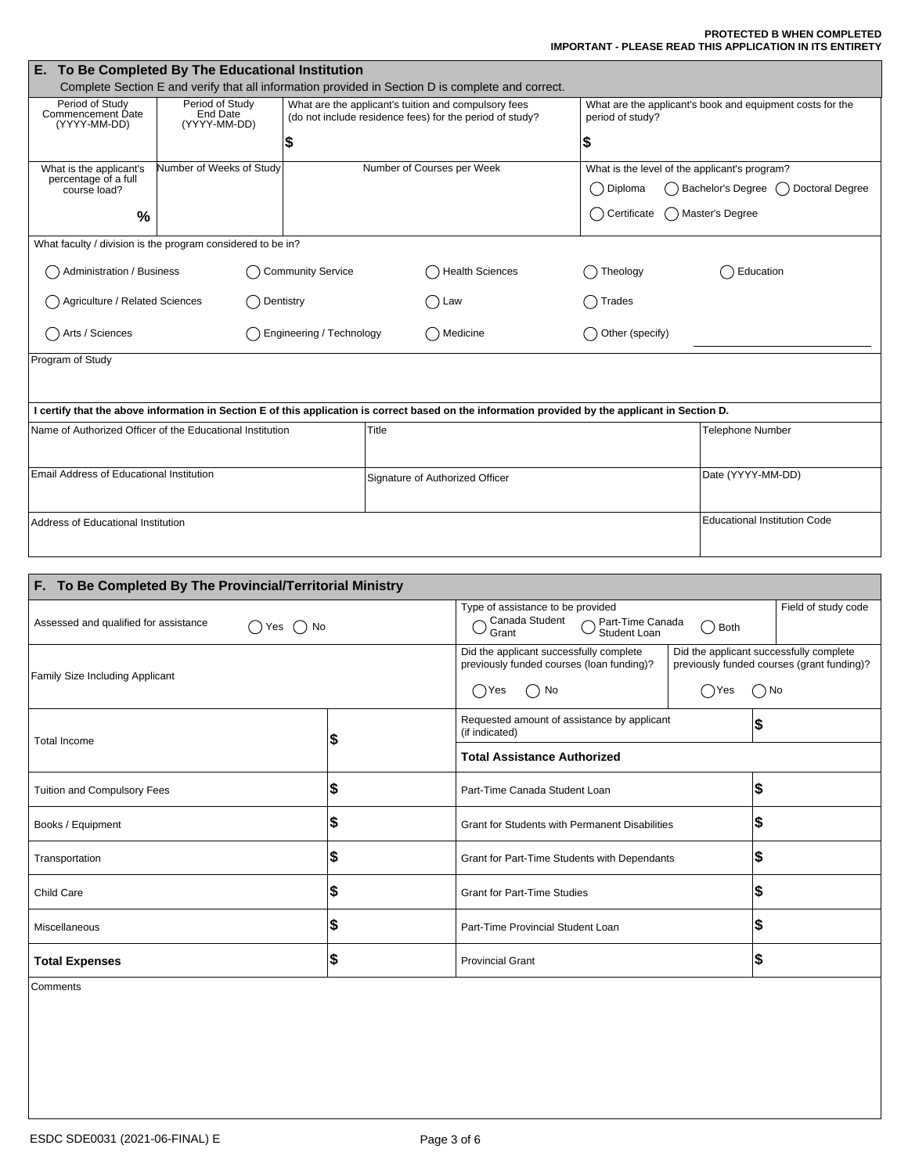#### **PROTECTED B WHEN COMPLETED IMPORTANT - PLEASE READ THIS APPLICATION IN ITS ENTIRETY**

| To Be Completed By The Educational Institution<br>Е.                                                                                              |                                                             |                                 |                            |                                                                                                                  |                         |                                                                                                              |  |  |
|---------------------------------------------------------------------------------------------------------------------------------------------------|-------------------------------------------------------------|---------------------------------|----------------------------|------------------------------------------------------------------------------------------------------------------|-------------------------|--------------------------------------------------------------------------------------------------------------|--|--|
| Complete Section E and verify that all information provided in Section D is complete and correct.                                                 |                                                             |                                 |                            |                                                                                                                  |                         |                                                                                                              |  |  |
| Period of Study<br>Commencement Date<br>(YYYY-MM-DD)                                                                                              | Period of Study<br><b>End Date</b><br>(YYYY-MM-DD)<br>\$    |                                 |                            | What are the applicant's tuition and compulsory fees<br>(do not include residence fees) for the period of study? | period of study?<br>\$  | What are the applicant's book and equipment costs for the                                                    |  |  |
| What is the applicant's<br>percentage of a full<br>course load?<br>$\%$                                                                           | Number of Weeks of Study                                    |                                 | Number of Courses per Week |                                                                                                                  | Diploma<br>Certificate  | What is the level of the applicant's program?<br>Bachelor's Degree (<br>Doctoral Degree<br>A Master's Degree |  |  |
|                                                                                                                                                   | What faculty / division is the program considered to be in? |                                 |                            |                                                                                                                  |                         |                                                                                                              |  |  |
| Administration / Business<br><b>Community Service</b>                                                                                             |                                                             |                                 |                            | <b>Health Sciences</b>                                                                                           | Theology                | Education                                                                                                    |  |  |
| Agriculture / Related Sciences<br>Dentistry                                                                                                       |                                                             |                                 |                            | ()Law                                                                                                            | Trades                  |                                                                                                              |  |  |
| Arts / Sciences<br>Engineering / Technology                                                                                                       |                                                             |                                 | () Medicine                | Other (specify)                                                                                                  |                         |                                                                                                              |  |  |
| Program of Study                                                                                                                                  |                                                             |                                 |                            |                                                                                                                  |                         |                                                                                                              |  |  |
| I certify that the above information in Section E of this application is correct based on the information provided by the applicant in Section D. |                                                             |                                 |                            |                                                                                                                  |                         |                                                                                                              |  |  |
| Name of Authorized Officer of the Educational Institution                                                                                         |                                                             | Title                           |                            |                                                                                                                  | <b>Telephone Number</b> |                                                                                                              |  |  |
| Email Address of Educational Institution                                                                                                          |                                                             | Signature of Authorized Officer |                            |                                                                                                                  | Date (YYYY-MM-DD)       |                                                                                                              |  |  |
| Address of Educational Institution                                                                                                                |                                                             |                                 |                            |                                                                                                                  |                         | <b>Educational Institution Code</b>                                                                          |  |  |

| F. To Be Completed By The Provincial/Territorial Ministry |                                                                                                     |                                                                                                        |  |    |  |  |
|-----------------------------------------------------------|-----------------------------------------------------------------------------------------------------|--------------------------------------------------------------------------------------------------------|--|----|--|--|
| Assessed and qualified for assistance<br>() Yes () No     | Type of assistance to be provided<br>Canada Student  ne Canada<br>Student Loan<br>Grant             | Field of study code                                                                                    |  |    |  |  |
| Family Size Including Applicant                           | Did the applicant successfully complete<br>previously funded courses (loan funding)?<br>No<br>()Yes | Did the applicant successfully complete<br>previously funded courses (grant funding)?<br>$\bigcirc$ No |  |    |  |  |
| <b>Total Income</b>                                       | S                                                                                                   | Requested amount of assistance by applicant<br>(if indicated)                                          |  |    |  |  |
|                                                           |                                                                                                     | <b>Total Assistance Authorized</b>                                                                     |  |    |  |  |
| <b>Tuition and Compulsory Fees</b>                        | l\$                                                                                                 | Part-Time Canada Student Loan                                                                          |  | \$ |  |  |
| Books / Equipment                                         | S                                                                                                   | <b>Grant for Students with Permanent Disabilities</b>                                                  |  | S  |  |  |
| Transportation                                            | ∣\$                                                                                                 | l\$<br>Grant for Part-Time Students with Dependants                                                    |  |    |  |  |
| Child Care                                                | \$                                                                                                  | \$<br><b>Grant for Part-Time Studies</b>                                                               |  |    |  |  |
| Miscellaneous                                             | 1\$                                                                                                 | 5<br>Part-Time Provincial Student Loan                                                                 |  |    |  |  |
| <b>Total Expenses</b>                                     | l\$                                                                                                 | 5<br><b>Provincial Grant</b>                                                                           |  |    |  |  |
|                                                           |                                                                                                     |                                                                                                        |  |    |  |  |

Comments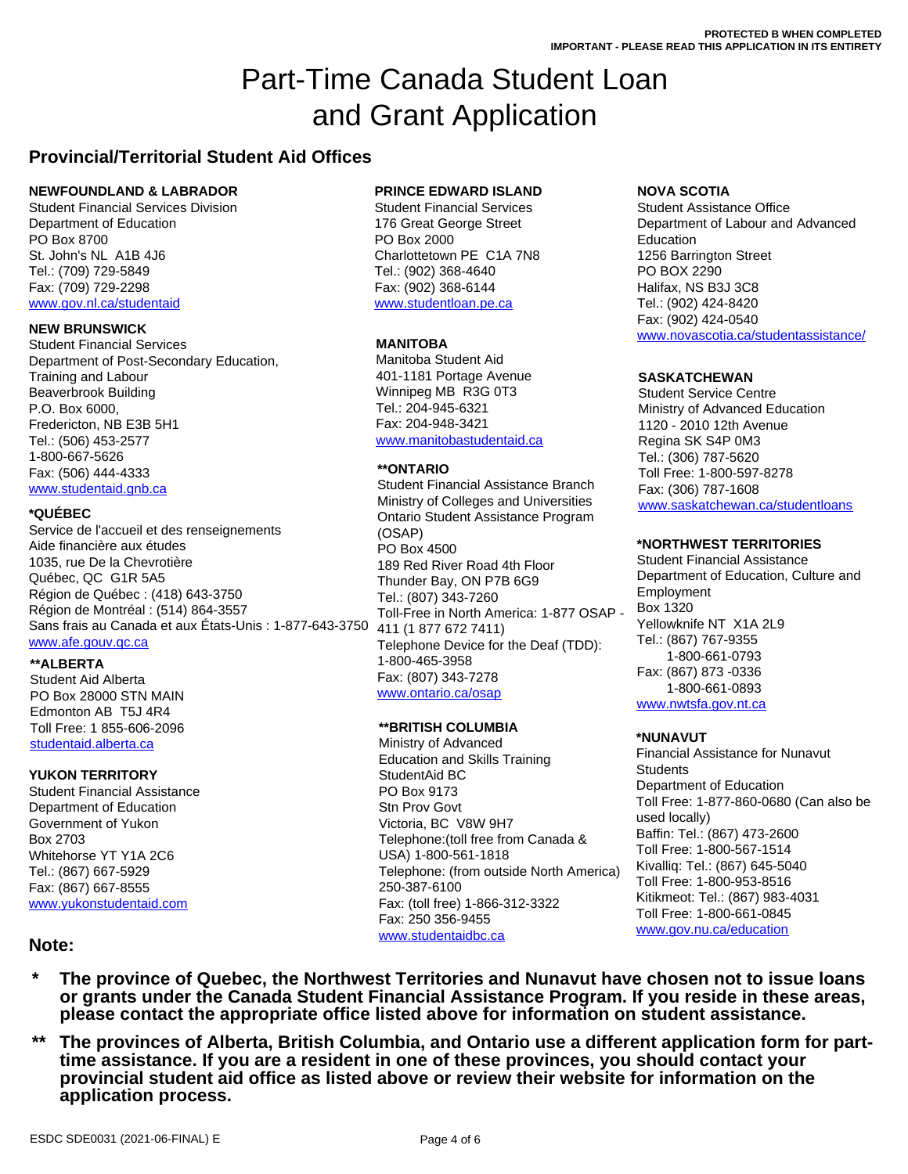# Part-Time Canada Student Loan and Grant Application

## **Provincial/Territorial Student Aid Offices**

## **NEWFOUNDLAND & LABRADOR**

Student Financial Services Division Department of Education PO Box 8700 St. John's NL A1B 4J6 Tel.: (709) 729-5849 Fax: (709) 729-2298 <www.gov.nl.ca/studentaid>

Student Financial Services Department of Post-Secondary Education, Training and Labour Beaverbrook Building P.O. Box 6000, Fredericton, NB E3B 5H1 Tel.: (506) 453-2577 1-800-667-5626 Fax: (506) 444-4333 [www.studentaid.gnb.ca](www.studentaid.gnb.ca/)

Service de l'accueil et des renseignements Aide financière aux études 1035, rue De la Chevrotière Québec, QC G1R 5A5 Région de Québec : (418) 643-3750 Région de Montréal : (514) 864-3557 Sans frais au Canada et aux États-Unis : 1-877-643-3750 [www.afe.gouv.qc.ca](www.afe.gouv.qc.ca/)

## **\*\*ALBERTA**

Student Aid Alberta PO Box 28000 STN MAIN Edmonton AB T5J 4R4 Toll Free: 1 855-606-2096 <studentaid.alberta.ca>

## **YUKON TERRITORY**

Student Financial Assistance Department of Education Government of Yukon Box 2703 Whitehorse YT Y1A 2C6 Tel.: (867) 667-5929 Fax: (867) 667-8555 [www.yukonstudentaid.com](www.yukonstudentaid.com/)

## **PRINCE EDWARD ISLAND**

Student Financial Services 176 Great George Street PO Box 2000 Charlottetown PE C1A 7N8 Tel.: (902) 368-4640 Fax: (902) 368-6144 [www.studentloan.pe.ca](www.studentloan.pe.ca/)

## **MANITOBA**

Manitoba Student Aid 401-1181 Portage Avenue Winnipeg MB R3G 0T3 Tel.: 204-945-6321 Fax: 204-948-3421 [www.manitobastudentaid.ca](www.manitobastudentaid.ca/)

## **\*\*ONTARIO**

[www.saskatchewan.ca/studentloans](www.saskatchewan.ca/studentloans/) **\*QUÉBEC**  Ontario Student Assistance Program Student Financial Assistance Branch Ministry of Colleges and Universities (OSAP) PO Box 4500 189 Red River Road 4th Floor Thunder Bay, ON P7B 6G9 Tel.: (807) 343-7260 Toll-Free in North America: 1-877 OSAP - 411 (1 877 672 7411) Telephone Device for the Deaf (TDD): 1-800-465-3958 Fax: (807) 343-7278 <www.ontario.ca/osap>

## **\*\*BRITISH COLUMBIA**

Ministry of Advanced Education and Skills Training StudentAid BC PO Box 9173 Stn Prov Govt Victoria, BC V8W 9H7 Telephone:(toll free from Canada & USA) 1-800-561-1818 Telephone: (from outside North America) 250-387-6100 Fax: (toll free) 1-866-312-3322 Fax: 250 356-9455 [www.studentaidbc.ca](www.studentaidbc.ca/)

## **NOVA SCOTIA**

Student Assistance Office Department of Labour and Advanced Education 1256 Barrington Street PO BOX 2290 Halifax, NS B3J 3C8 Tel.: (902) 424-8420 Fax: (902) 424-0540 <www.novascotia.ca/studentassistance/> **NEW BRUNSWICK** 

## **SASKATCHEWAN**

Student Service Centre Ministry of Advanced Education 1120 - 2010 12th Avenue Regina SK S4P 0M3 Tel.: (306) 787-5620 Toll Free: 1-800-597-8278 Fax: (306) 787-1608

## **\*NORTHWEST TERRITORIES**

Student Financial Assistance Department of Education, Culture and Employment Box 1320 Yellowknife NT X1A 2L9 Tel.: (867) 767-9355 1-800-661-0793 Fax: (867) 873 -0336 1-800-661-0893 [www.nwtsfa.gov.nt.ca](www.nwtsfa.gov.nt.ca/)

## **\*NUNAVUT**

Financial Assistance for Nunavut **Students** Department of Education Toll Free: 1-877-860-0680 (Can also be used locally) Baffin: Tel.: (867) 473-2600 Toll Free: 1-800-567-1514 Kivalliq: Tel.: (867) 645-5040 Toll Free: 1-800-953-8516 Kitikmeot: Tel.: (867) 983-4031 Toll Free: 1-800-661-0845 <www.gov.nu.ca/education>

## **Note:**

- **\* The province of Quebec, the Northwest Territories and Nunavut have chosen not to issue loans or grants under the Canada Student Financial Assistance Program. If you reside in these areas, please contact the appropriate office listed above for information on student assistance.**
- **\*\* The provinces of Alberta, British Columbia, and Ontario use a different application form for parttime assistance. If you are a resident in one of these provinces, you should contact your provincial student aid office as listed above or review their website for information on the application process.**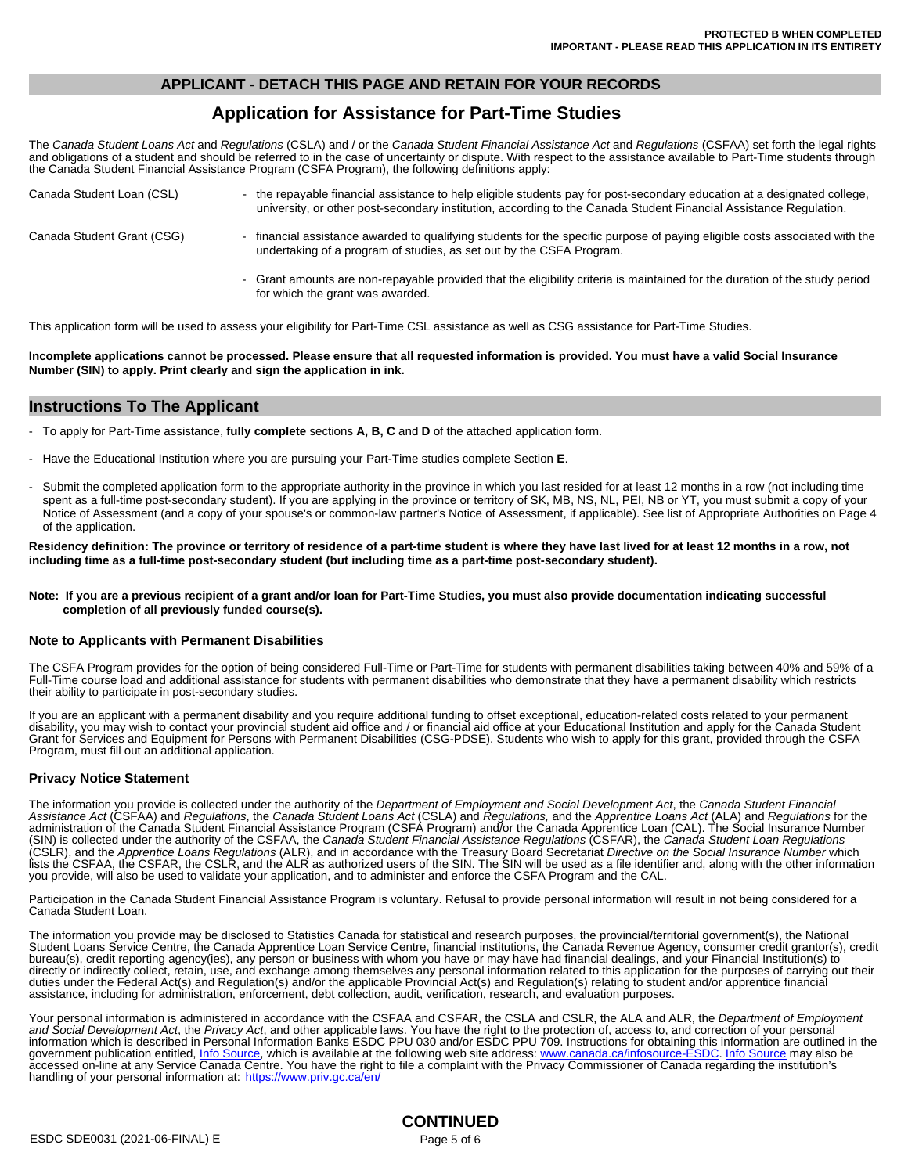## **APPLICANT - DETACH THIS PAGE AND RETAIN FOR YOUR RECORDS**

## **Application for Assistance for Part-Time Studies**

The *Canada Student Loans Act* and *Regulations* (CSLA) and / or the *Canada Student Financial Assistance Act* and *Regulations* (CSFAA) set forth the legal rights and obligations of a student and should be referred to in the case of uncertainty or dispute. With respect to the assistance available to Part-Time students through the Canada Student Financial Assistance Program (CSFA Program), the following definitions apply:

| Canada Student Loan (CSL)  | - the repayable financial assistance to help eligible students pay for post-secondary education at a designated college,<br>university, or other post-secondary institution, according to the Canada Student Financial Assistance Regulation. |
|----------------------------|-----------------------------------------------------------------------------------------------------------------------------------------------------------------------------------------------------------------------------------------------|
| Canada Student Grant (CSG) | - financial assistance awarded to qualifying students for the specific purpose of paying eligible costs associated with the<br>undertaking of a program of studies, as set out by the CSFA Program.                                           |
|                            | - Grant amounts are non-repayable provided that the eligibility criteria is maintained for the duration of the study period<br>for which the grant was awarded.                                                                               |

This application form will be used to assess your eligibility for Part-Time CSL assistance as well as CSG assistance for Part-Time Studies.

**Incomplete applications cannot be processed. Please ensure that all requested information is provided. You must have a valid Social Insurance Number (SIN) to apply. Print clearly and sign the application in ink.**

## **Instructions To The Applicant**

- To apply for Part-Time assistance, **fully complete** sections **A, B, C** and **D** of the attached application form.
- Have the Educational Institution where you are pursuing your Part-Time studies complete Section **E**.
- Submit the completed application form to the appropriate authority in the province in which you last resided for at least 12 months in a row (not including time spent as a full-time post-secondary student). If you are applying in the province or territory of SK, MB, NS, NL, PEI, NB or YT, you must submit a copy of your Notice of Assessment (and a copy of your spouse's or common-law partner's Notice of Assessment, if applicable). See list of Appropriate Authorities on Page 4 of the application.

**Residency definition: The province or territory of residence of a part-time student is where they have last lived for at least 12 months in a row, not including time as a full-time post-secondary student (but including time as a part-time post-secondary student).**

#### **Note: If you are a previous recipient of a grant and/or loan for Part-Time Studies, you must also provide documentation indicating successful completion of all previously funded course(s).**

#### **Note to Applicants with Permanent Disabilities**

The CSFA Program provides for the option of being considered Full-Time or Part-Time for students with permanent disabilities taking between 40% and 59% of a Full-Time course load and additional assistance for students with permanent disabilities who demonstrate that they have a permanent disability which restricts their ability to participate in post-secondary studies.

If you are an applicant with a permanent disability and you require additional funding to offset exceptional, education-related costs related to your permanent disability, you may wish to contact your provincial student aid office and / or financial aid office at your Educational Institution and apply for the Canada Student Grant for Services and Equipment for Persons with Permanent Disabilities (CSG-PDSE). Students who wish to apply for this grant, provided through the CSFA Program, must fill out an additional application.

## **Privacy Notice Statement**

The information you provide is collected under the authority of the *Department of Employment and Social Development Act*, the *Canada Student Financial*  Assistance Act (CSFAA) and *Regulations*, the *Canada Student Loans Act* (CSLA) and *Regulations,* and the *Apprentice Loans Act* (ALA) and *Regulations* for the<br>administration of the Canada Student Financial Assistance Pr (SIN) is collected under the authority of the CSFAA, the *Canada Student Financial Assistance Regulations* (CSFAR), the *Canada Student Loan Regulations*  (CSLR), and the *Apprentice Loans Regulations* (ALR), and in accordance with the Treasury Board Secretariat *Directive on the Social Insurance Number* which lists the CSFAA, the CSFAR, the CSLR, and the ALR as authorized users of the SIN. The SIN will be used as a file identifier and, along with the other information you provide, will also be used to validate your application, and to administer and enforce the CSFA Program and the CAL.

Participation in the Canada Student Financial Assistance Program is voluntary. Refusal to provide personal information will result in not being considered for a Canada Student Loan.

The information you provide may be disclosed to Statistics Canada for statistical and research purposes, the provincial/territorial government(s), the National Student Loans Service Centre, the Canada Apprentice Loan Service Centre, financial institutions, the Canada Revenue Agency, consumer credit grantor(s), credit bureau(s), credit reporting agency(ies), any person or business with whom you have or may have had financial dealings, and your Financial Institution(s) to directly or indirectly collect, retain, use, and exchange among themselves any personal information related to this application for the purposes of carrying out their duties under the Federal Act(s) and Regulation(s) and/or the applicable Provincial Act(s) and Regulation(s) relating to student and/or apprentice financial assistance, including for administration, enforcement, debt collection, audit, verification, research, and evaluation purposes.

Your personal information is administered in accordance with the CSFAA and CSFAR, the CSLA and CSLR, the ALA and ALR, the *Department of Employment and Social Development Act*, the *Privacy Act*, and other applicable laws. You have the right to the protection of, access to, and correction of your personal<br>information which is described in Personal Information Banks E government publication entitled, [Info Source,](http://www.canada.ca/infosource-ESDC) which is available at the following web site address: <www.canada.ca/infosource-ESDC>. [Info Source](http://www.canada.ca/infosource-ESDC) may also be accessed on-line at any Service Canada Centre. You have the right to file a complaint with the Privacy Commissioner of Canada regarding the institution's<br>handling of your personal information at: <u>https://www.priv.gc.ca/en</u>